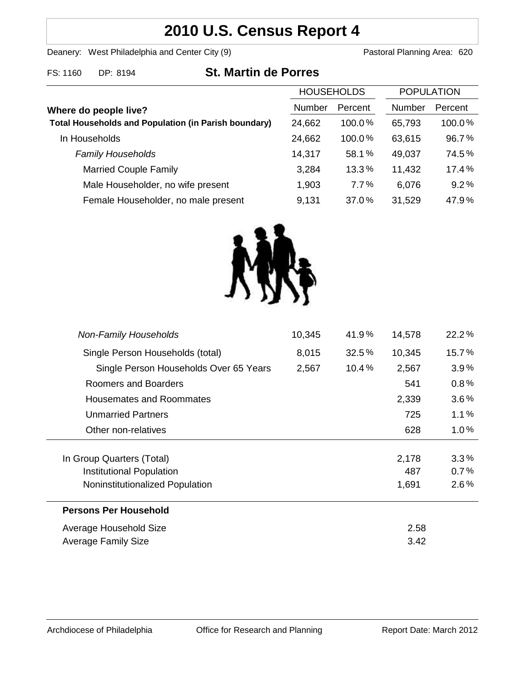# **2010 U.S. Census Report 4**

Deanery: West Philadelphia and Center City (9) Deanery: West Philadelphia and Center City (9)

| FS: 1160<br>DP: 8194 | <b>St. Martin de Porres</b> |
|----------------------|-----------------------------|
|----------------------|-----------------------------|

|                                                             |        | <b>HOUSEHOLDS</b> |               | <b>POPULATION</b> |  |
|-------------------------------------------------------------|--------|-------------------|---------------|-------------------|--|
| Where do people live?                                       | Number | Percent           | <b>Number</b> | Percent           |  |
| <b>Total Households and Population (in Parish boundary)</b> | 24,662 | 100.0%            | 65,793        | 100.0%            |  |
| In Households                                               | 24,662 | 100.0%            | 63,615        | 96.7%             |  |
| <b>Family Households</b>                                    | 14,317 | 58.1%             | 49,037        | 74.5%             |  |
| <b>Married Couple Family</b>                                | 3,284  | 13.3%             | 11,432        | 17.4%             |  |
| Male Householder, no wife present                           | 1,903  | 7.7%              | 6,076         | 9.2%              |  |
| Female Householder, no male present                         | 9,131  | 37.0%             | 31,529        | 47.9%             |  |



| <b>Non-Family Households</b>           | 10,345 | 41.9%    | 14,578 | 22.2%   |
|----------------------------------------|--------|----------|--------|---------|
| Single Person Households (total)       | 8,015  | 32.5%    | 10,345 | 15.7%   |
| Single Person Households Over 65 Years | 2,567  | $10.4\%$ | 2,567  | 3.9%    |
| Roomers and Boarders                   |        |          | 541    | $0.8\%$ |
| Housemates and Roommates               |        |          | 2,339  | $3.6\%$ |
| <b>Unmarried Partners</b>              |        |          | 725    | $1.1\%$ |
| Other non-relatives                    |        |          | 628    | $1.0\%$ |
|                                        |        |          |        |         |
| In Group Quarters (Total)              |        |          | 2,178  | 3.3%    |
| Institutional Population               |        |          | 487    | 0.7%    |
| Noninstitutionalized Population        |        |          | 1,691  | $2.6\%$ |
| <b>Persons Per Household</b>           |        |          |        |         |
| Average Household Size                 |        |          | 2.58   |         |
| Average Family Size                    |        |          | 3.42   |         |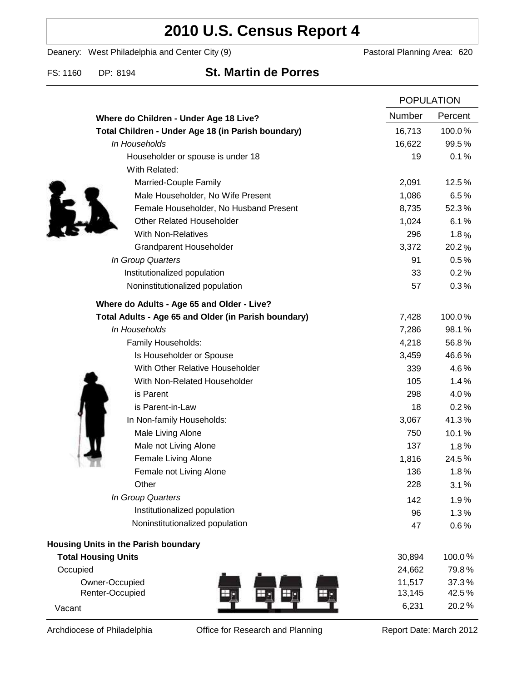## **2010 U.S. Census Report 4**

Deanery: West Philadelphia and Center City (9) Deanery: West Philadelphia and Center City (9)

FS: 1160 DP: 8194 **St. Martin de Porres**

|                                                      | <b>POPULATION</b> |                |
|------------------------------------------------------|-------------------|----------------|
| Where do Children - Under Age 18 Live?               | Number            | Percent        |
| Total Children - Under Age 18 (in Parish boundary)   | 16,713            | 100.0%         |
| In Households                                        | 16,622            | 99.5%          |
| Householder or spouse is under 18                    | 19                | 0.1%           |
| With Related:                                        |                   |                |
| Married-Couple Family                                | 2,091             | 12.5%          |
| Male Householder, No Wife Present                    | 1,086             | 6.5%           |
| Female Householder, No Husband Present               | 8,735             | 52.3%          |
| <b>Other Related Householder</b>                     | 1,024             | 6.1%           |
| <b>With Non-Relatives</b>                            | 296               | 1.8%           |
| Grandparent Householder                              | 3,372             | 20.2%          |
| In Group Quarters                                    | 91                | 0.5%           |
| Institutionalized population                         | 33                | 0.2%           |
| Noninstitutionalized population                      | 57                | 0.3%           |
| Where do Adults - Age 65 and Older - Live?           |                   |                |
| Total Adults - Age 65 and Older (in Parish boundary) | 7,428             | 100.0%         |
| In Households                                        | 7,286             | 98.1%          |
| Family Households:                                   | 4,218             | 56.8%          |
| Is Householder or Spouse                             | 3,459             | 46.6%          |
| With Other Relative Householder                      | 339               | 4.6%           |
| With Non-Related Householder                         | 105               | 1.4%           |
| is Parent                                            | 298               | 4.0%           |
| is Parent-in-Law                                     | 18                | 0.2%           |
| In Non-family Households:                            | 3,067             | 41.3%          |
| Male Living Alone                                    | 750               | 10.1%          |
| Male not Living Alone                                | 137               | 1.8%           |
| Female Living Alone                                  | 1,816             | 24.5%          |
| Female not Living Alone                              | 136               | 1.8%           |
| Other                                                | 228               | 3.1%           |
| In Group Quarters                                    | 142               | 1.9%           |
| Institutionalized population                         | 96                | 1.3%           |
| Noninstitutionalized population                      | 47                | 0.6%           |
| Housing Units in the Parish boundary                 |                   |                |
| <b>Total Housing Units</b>                           | 30,894            | 100.0%         |
| Occupied                                             | 24,662            | 79.8%          |
| Owner-Occupied<br>Renter-Occupied                    | 11,517<br>13,145  | 37.3%<br>42.5% |
| Vacant                                               | 6,231             | 20.2%          |

Archdiocese of Philadelphia **Office for Research and Planning** Report Date: March 2012